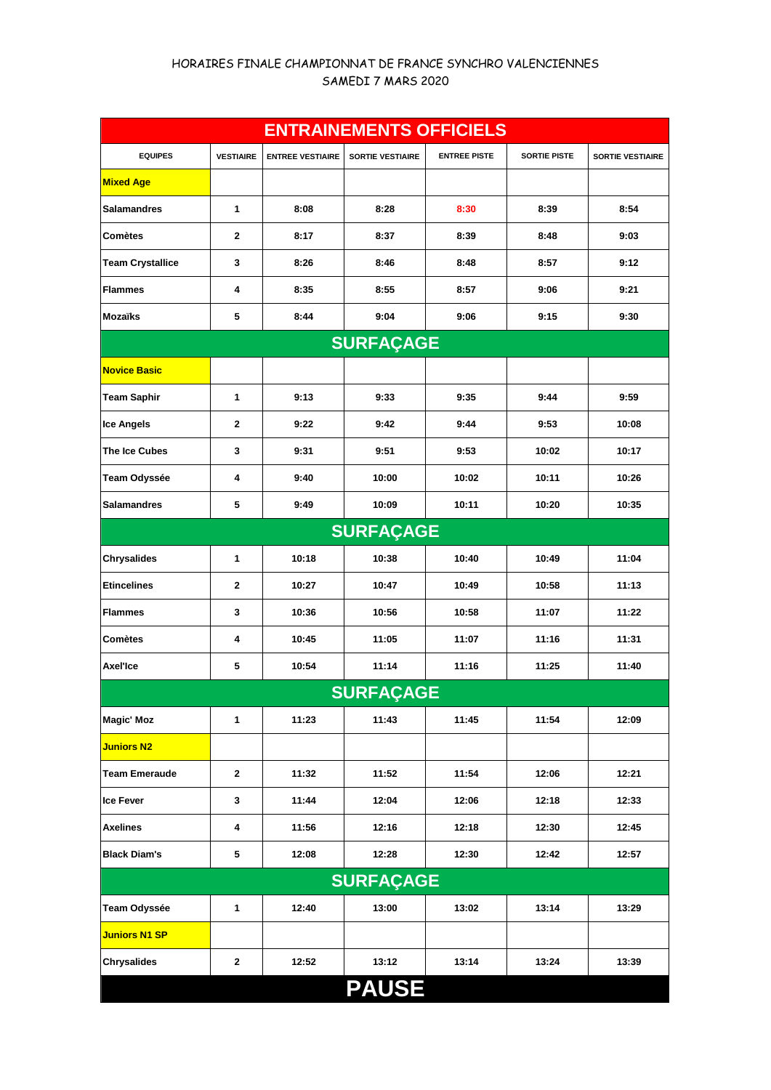## HORAIRES FINALE CHAMPIONNAT DE FRANCE SYNCHRO VALENCIENNES SAMEDI 7 MARS 2020

| <b>ENTRAINEMENTS OFFICIELS</b> |                  |                         |                         |                     |                     |                         |  |  |
|--------------------------------|------------------|-------------------------|-------------------------|---------------------|---------------------|-------------------------|--|--|
| <b>EQUIPES</b>                 | <b>VESTIAIRE</b> | <b>ENTREE VESTIAIRE</b> | <b>SORTIE VESTIAIRE</b> | <b>ENTREE PISTE</b> | <b>SORTIE PISTE</b> | <b>SORTIE VESTIAIRE</b> |  |  |
| <b>Mixed Age</b>               |                  |                         |                         |                     |                     |                         |  |  |
| <b>Salamandres</b>             | 1                | 8:08                    | 8:28                    | 8:30                | 8:39                | 8:54                    |  |  |
| <b>Comètes</b>                 | 2                | 8:17                    | 8:37                    | 8:39                | 8:48                | 9:03                    |  |  |
| <b>Team Crystallice</b>        | 3                | 8:26                    | 8:46                    | 8:48                | 8:57                | 9:12                    |  |  |
| <b>Flammes</b>                 | 4                | 8:35                    | 8:55                    | 8:57                | 9:06                | 9:21                    |  |  |
| <b>Mozaïks</b>                 | 5                | 8:44                    | 9:04                    | 9:06                | 9:15                | 9:30                    |  |  |
|                                |                  |                         | <b>SURFAÇAGE</b>        |                     |                     |                         |  |  |
| <b>Novice Basic</b>            |                  |                         |                         |                     |                     |                         |  |  |
| <b>Team Saphir</b>             | 1                | 9:13                    | 9:33                    | 9:35                | 9:44                | 9:59                    |  |  |
| <b>Ice Angels</b>              | $\mathbf{2}$     | 9:22                    | 9:42                    | 9:44                | 9:53                | 10:08                   |  |  |
| The Ice Cubes                  | 3                | 9:31                    | 9:51                    | 9:53                | 10:02               | 10:17                   |  |  |
| Team Odyssée                   | 4                | 9:40                    | 10:00                   | 10:02               | 10:11               | 10:26                   |  |  |
| <b>Salamandres</b>             | 5                | 9:49                    | 10:09                   | 10:11               | 10:20               | 10:35                   |  |  |
|                                |                  |                         | <b>SURFAÇAGE</b>        |                     |                     |                         |  |  |
| <b>Chrysalides</b>             | 1                | 10:18                   | 10:38                   | 10:40               | 10:49               | 11:04                   |  |  |
| <b>Etincelines</b>             | 2                | 10:27                   | 10:47                   | 10:49               | 10:58               | 11:13                   |  |  |
| <b>Flammes</b>                 | 3                | 10:36                   | 10:56                   | 10:58               | 11:07               | 11:22                   |  |  |
| <b>Comètes</b>                 | 4                | 10:45                   | 11:05                   | 11:07               | 11:16               | 11:31                   |  |  |
| <b>Axel'Ice</b>                | 5                | 10:54                   | 11:14                   | 11:16               | 11:25               | 11:40                   |  |  |
| <b>SURFAÇAGE</b>               |                  |                         |                         |                     |                     |                         |  |  |
| <b>Magic' Moz</b>              | 1                | 11:23                   | 11:43                   | 11:45               | 11:54               | 12:09                   |  |  |
| <b>Juniors N2</b>              |                  |                         |                         |                     |                     |                         |  |  |
| <b>Team Emeraude</b>           | $\mathbf{2}$     | 11:32                   | 11:52                   | 11:54               | 12:06               | 12:21                   |  |  |
| <b>Ice Fever</b>               | 3                | 11:44                   | 12:04                   | 12:06               | 12:18               | 12:33                   |  |  |
| <b>Axelines</b>                | 4                | 11:56                   | 12:16                   | 12:18               | 12:30               | 12:45                   |  |  |
| <b>Black Diam's</b>            | 5                | 12:08                   | 12:28                   | 12:30               | 12:42               | 12:57                   |  |  |
| <b>SURFAÇAGE</b>               |                  |                         |                         |                     |                     |                         |  |  |
| Team Odyssée                   | 1                | 12:40                   | 13:00                   | 13:02               | 13:14               | 13:29                   |  |  |
| <b>Juniors N1 SP</b>           |                  |                         |                         |                     |                     |                         |  |  |
| <b>Chrysalides</b>             | 2                | 12:52                   | 13:12                   | 13:14               | 13:24               | 13:39                   |  |  |
| <b>PAUSE</b>                   |                  |                         |                         |                     |                     |                         |  |  |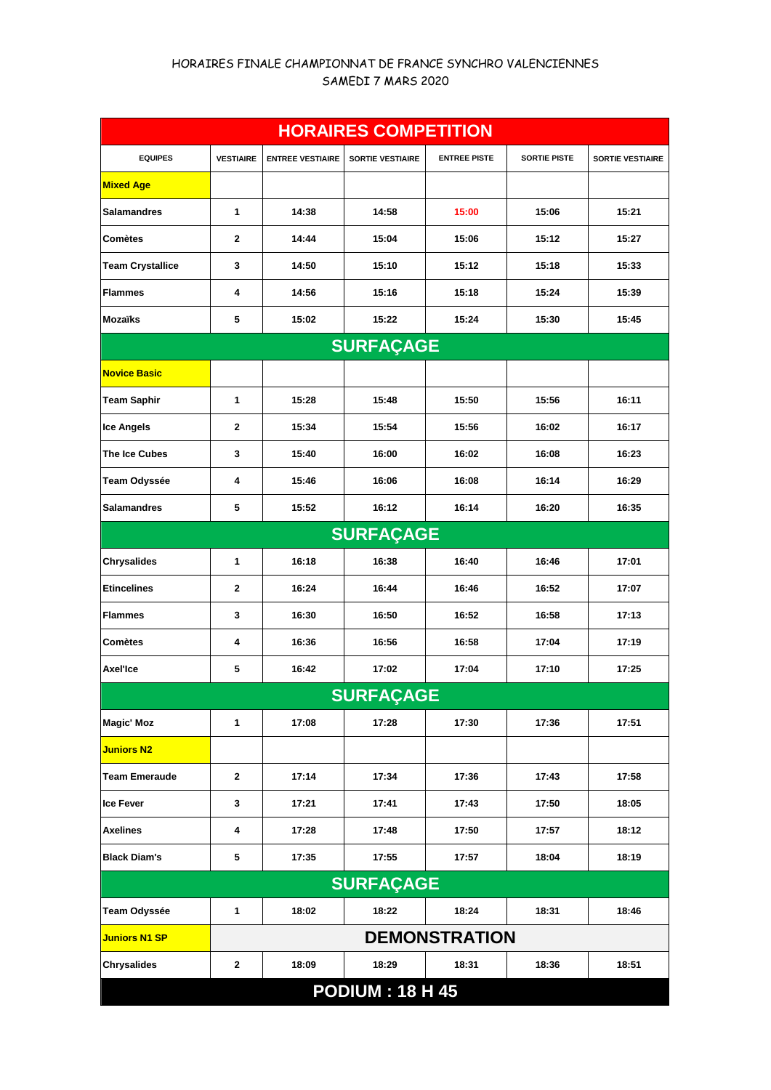## HORAIRES FINALE CHAMPIONNAT DE FRANCE SYNCHRO VALENCIENNES SAMEDI 7 MARS 2020

| <b>HORAIRES COMPETITION</b> |                      |                         |                         |                     |                     |                         |  |  |
|-----------------------------|----------------------|-------------------------|-------------------------|---------------------|---------------------|-------------------------|--|--|
| <b>EQUIPES</b>              | <b>VESTIAIRE</b>     | <b>ENTREE VESTIAIRE</b> | <b>SORTIE VESTIAIRE</b> | <b>ENTREE PISTE</b> | <b>SORTIE PISTE</b> | <b>SORTIE VESTIAIRE</b> |  |  |
| <b>Mixed Age</b>            |                      |                         |                         |                     |                     |                         |  |  |
| <b>Salamandres</b>          | 1                    | 14:38                   | 14:58                   | 15:00               | 15:06               | 15:21                   |  |  |
| <b>Comètes</b>              | 2                    | 14:44                   | 15:04                   | 15:06               | 15:12               | 15:27                   |  |  |
| <b>Team Crystallice</b>     | 3                    | 14:50                   | 15:10                   | 15:12               | 15:18               | 15:33                   |  |  |
| <b>Flammes</b>              | 4                    | 14:56                   | 15:16                   | 15:18               | 15:24               | 15:39                   |  |  |
| <b>Mozaïks</b>              | 5                    | 15:02                   | 15:22                   | 15:24               | 15:30               | 15:45                   |  |  |
|                             |                      |                         | <b>SURFAÇAGE</b>        |                     |                     |                         |  |  |
| <b>Novice Basic</b>         |                      |                         |                         |                     |                     |                         |  |  |
| <b>Team Saphir</b>          | 1                    | 15:28                   | 15:48                   | 15:50               | 15:56               | 16:11                   |  |  |
| <b>Ice Angels</b>           | $\mathbf{2}$         | 15:34                   | 15:54                   | 15:56               | 16:02               | 16:17                   |  |  |
| The Ice Cubes               | 3                    | 15:40                   | 16:00                   | 16:02               | 16:08               | 16:23                   |  |  |
| Team Odyssée                | 4                    | 15:46                   | 16:06                   | 16:08               | 16:14               | 16:29                   |  |  |
| <b>Salamandres</b>          | 5                    | 15:52                   | 16:12                   | 16:14               | 16:20               | 16:35                   |  |  |
|                             |                      |                         | <b>SURFAÇAGE</b>        |                     |                     |                         |  |  |
| <b>Chrysalides</b>          | $\mathbf{1}$         | 16:18                   | 16:38                   | 16:40               | 16:46               | 17:01                   |  |  |
| <b>Etincelines</b>          | 2                    | 16:24                   | 16:44                   | 16:46               | 16:52               | 17:07                   |  |  |
| <b>Flammes</b>              | 3                    | 16:30                   | 16:50                   | 16:52               | 16:58               | 17:13                   |  |  |
| <b>Comètes</b>              | 4                    | 16:36                   | 16:56                   | 16:58               | 17:04               | 17:19                   |  |  |
| Axel'Ice                    | 5                    | 16:42                   | 17:02                   | 17:04               | 17:10               | 17:25                   |  |  |
| <b>SURFAÇAGE</b>            |                      |                         |                         |                     |                     |                         |  |  |
| <b>Magic' Moz</b>           | 1                    | 17:08                   | 17:28                   | 17:30               | 17:36               | 17:51                   |  |  |
| <b>Juniors N2</b>           |                      |                         |                         |                     |                     |                         |  |  |
| <b>Team Emeraude</b>        | $\mathbf{2}$         | 17:14                   | 17:34                   | 17:36               | 17:43               | 17:58                   |  |  |
| <b>Ice Fever</b>            | 3                    | 17:21                   | 17:41                   | 17:43               | 17:50               | 18:05                   |  |  |
| <b>Axelines</b>             | 4                    | 17:28                   | 17:48                   | 17:50               | 17:57               | 18:12                   |  |  |
| <b>Black Diam's</b>         | 5                    | 17:35                   | 17:55                   | 17:57               | 18:04               | 18:19                   |  |  |
| <b>SURFAÇAGE</b>            |                      |                         |                         |                     |                     |                         |  |  |
| Team Odyssée                | 1                    | 18:02                   | 18:22                   | 18:24               | 18:31               | 18:46                   |  |  |
| <b>Juniors N1 SP</b>        | <b>DEMONSTRATION</b> |                         |                         |                     |                     |                         |  |  |
| <b>Chrysalides</b>          | $\mathbf{2}$         | 18:09                   | 18:29                   | 18:31               | 18:36               | 18:51                   |  |  |
| <b>PODIUM: 18 H 45</b>      |                      |                         |                         |                     |                     |                         |  |  |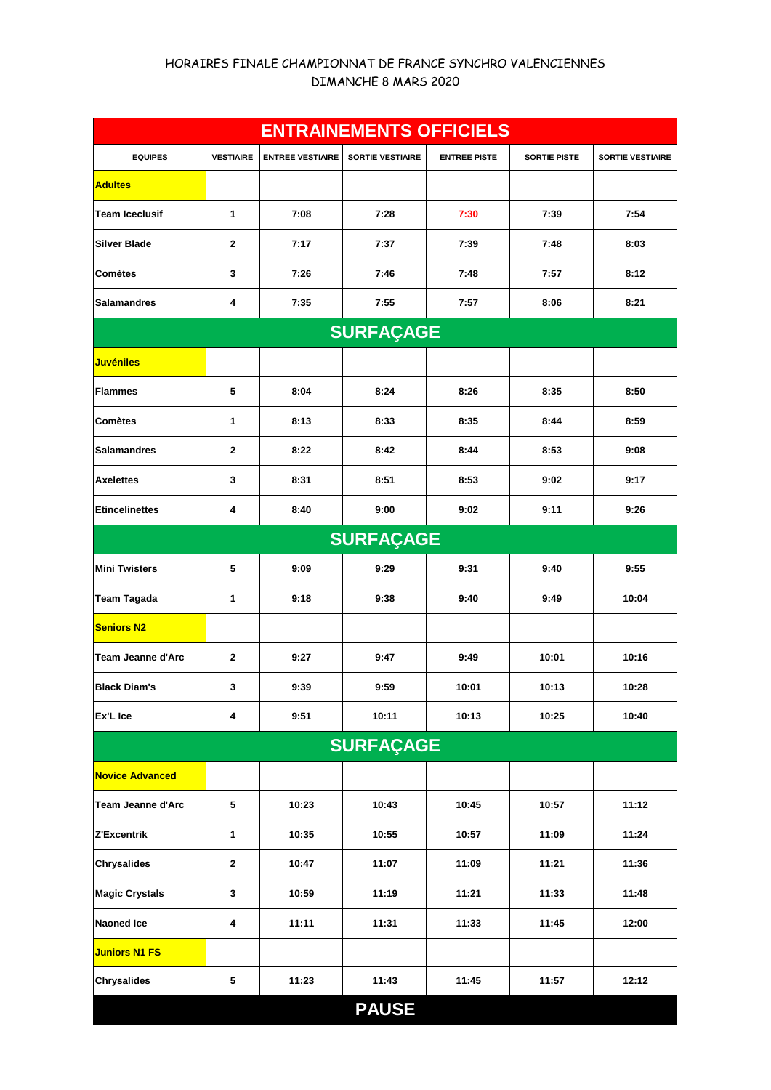## HORAIRES FINALE CHAMPIONNAT DE FRANCE SYNCHRO VALENCIENNES DIMANCHE 8 MARS 2020

| <b>ENTRAINEMENTS OFFICIELS</b> |                  |                         |                         |                     |                     |                         |  |  |
|--------------------------------|------------------|-------------------------|-------------------------|---------------------|---------------------|-------------------------|--|--|
| <b>EQUIPES</b>                 | <b>VESTIAIRE</b> | <b>ENTREE VESTIAIRE</b> | <b>SORTIE VESTIAIRE</b> | <b>ENTREE PISTE</b> | <b>SORTIE PISTE</b> | <b>SORTIE VESTIAIRE</b> |  |  |
| <b>Adultes</b>                 |                  |                         |                         |                     |                     |                         |  |  |
| <b>Team Iceclusif</b>          | 1                | 7:08                    | 7:28                    | 7:30                | 7:39                | 7:54                    |  |  |
| <b>Silver Blade</b>            | 2                | 7:17                    | 7:37                    | 7:39                | 7:48                | 8:03                    |  |  |
| <b>Comètes</b>                 | 3                | 7:26                    | 7:46                    | 7:48                | 7:57                | 8:12                    |  |  |
| <b>Salamandres</b>             | 4                | 7:35                    | 7:55                    | 7:57                | 8:06                | 8:21                    |  |  |
|                                |                  |                         | <b>SURFAÇAGE</b>        |                     |                     |                         |  |  |
| <b>Juvéniles</b>               |                  |                         |                         |                     |                     |                         |  |  |
| <b>Flammes</b>                 | 5                | 8:04                    | 8:24                    | 8:26                | 8:35                | 8:50                    |  |  |
| <b>Comètes</b>                 | 1                | 8:13                    | 8:33                    | 8:35                | 8:44                | 8:59                    |  |  |
| <b>Salamandres</b>             | 2                | 8:22                    | 8:42                    | 8:44                | 8:53                | 9:08                    |  |  |
| <b>Axelettes</b>               | 3                | 8:31                    | 8:51                    | 8:53                | 9:02                | 9:17                    |  |  |
| <b>Etincelinettes</b>          | 4                | 8:40                    | 9:00                    | 9:02                | 9:11                | 9:26                    |  |  |
|                                |                  |                         | <b>SURFAÇAGE</b>        |                     |                     |                         |  |  |
| <b>Mini Twisters</b>           | 5                | 9:09                    | 9:29                    | 9:31                | 9:40                | 9:55                    |  |  |
| <b>Team Tagada</b>             | 1                | 9:18                    | 9:38                    | 9:40                | 9:49                | 10:04                   |  |  |
| <b>Seniors N2</b>              |                  |                         |                         |                     |                     |                         |  |  |
| Team Jeanne d'Arc              | $\mathbf 2$      | 9:27                    | 9:47                    | 9:49                | 10:01               | 10:16                   |  |  |
| <b>Black Diam's</b>            | 3                | 9:39                    | 9:59                    | 10:01               | 10:13               | 10:28                   |  |  |
| Ex'L Ice                       | 4                | 9:51                    | 10:11                   | 10:13               | 10:25               | 10:40                   |  |  |
| <b>SURFAÇAGE</b>               |                  |                         |                         |                     |                     |                         |  |  |
| <b>Novice Advanced</b>         |                  |                         |                         |                     |                     |                         |  |  |
| Team Jeanne d'Arc              | 5                | 10:23                   | 10:43                   | 10:45               | 10:57               | 11:12                   |  |  |
| Z'Excentrik                    | 1                | 10:35                   | 10:55                   | 10:57               | 11:09               | 11:24                   |  |  |
| <b>Chrysalides</b>             | $\mathbf{2}$     | 10:47                   | 11:07                   | 11:09               | 11:21               | 11:36                   |  |  |
| <b>Magic Crystals</b>          | 3                | 10:59                   | 11:19                   | 11:21               | 11:33               | 11:48                   |  |  |
| Naoned Ice                     | 4                | 11:11                   | 11:31                   | 11:33               | 11:45               | 12:00                   |  |  |
| <b>Juniors N1 FS</b>           |                  |                         |                         |                     |                     |                         |  |  |
| <b>Chrysalides</b>             | 5                | 11:23                   | 11:43                   | 11:45               | 11:57               | 12:12                   |  |  |
|                                |                  |                         | <b>PAUSE</b>            |                     |                     |                         |  |  |